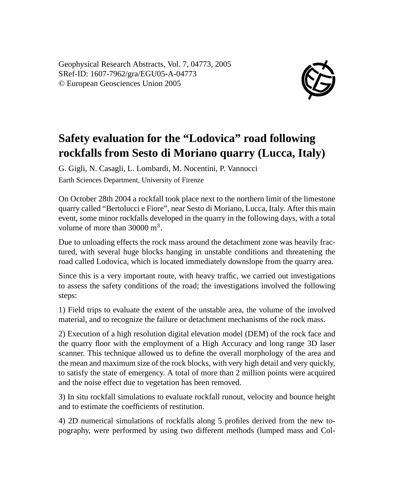Geophysical Research Abstracts, Vol. 7, 04773, 2005 SRef-ID: 1607-7962/gra/EGU05-A-04773 © European Geosciences Union 2005



## **Safety evaluation for the "Lodovica" road following rockfalls from Sesto di Moriano quarry (Lucca, Italy)**

G. Gigli, N. Casagli, L. Lombardi, M. Nocentini, P. Vannocci Earth Sciences Department, University of Firenze

On October 28th 2004 a rockfall took place next to the northern limit of the limestone quarry called "Bertolucci e Fiore", near Sesto di Moriano, Lucca, Italy. After this main event, some minor rockfalls developed in the quarry in the following days, with a total volume of more than  $30000 \text{ m}^3$ .

Due to unloading effects the rock mass around the detachment zone was heavily fractured, with several huge blocks hanging in unstable conditions and threatening the road called Lodovica, which is located immediately downslope from the quarry area.

Since this is a very important route, with heavy traffic, we carried out investigations to assess the safety conditions of the road; the investigations involved the following steps:

1) Field trips to evaluate the extent of the unstable area, the volume of the involved material, and to recognize the failure or detachment mechanisms of the rock mass.

2) Execution of a high resolution digital elevation model (DEM) of the rock face and the quarry floor with the employment of a High Accuracy and long range 3D laser scanner. This technique allowed us to define the overall morphology of the area and the mean and maximum size of the rock blocks, with very high detail and very quickly, to satisfy the state of emergency. A total of more than 2 million points were acquired and the noise effect due to vegetation has been removed.

3) In situ rockfall simulations to evaluate rockfall runout, velocity and bounce height and to estimate the coefficients of restitution.

4) 2D numerical simulations of rockfalls along 5 profiles derived from the new topography, were performed by using two different methods (lumped mass and Col